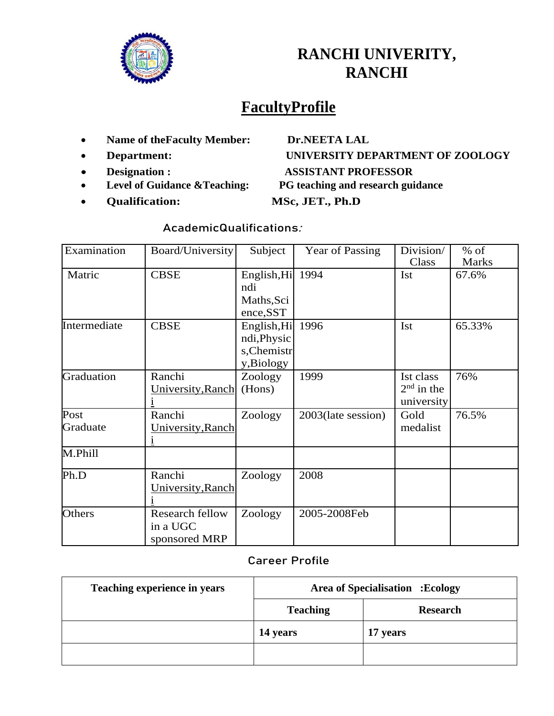

## **RANCHI UNIVERITY, RANCHI**

# **FacultyProfile**

- **Name of theFaculty Member: Dr.NEETA LAL**
- 
- 
- 
- **Qualification: MSc, JET., Ph.D**

# **Department: UNIVERSITY DEPARTMENT OF ZOOLOGY Designation : ASSISTANT PROFESSOR Level of Guidance &Teaching: PG teaching and research guidance**

#### **AcademicQualifications:**

| Examination      | Board/University                                    | Subject                                                | Year of Passing    | Division/                               | $%$ of                |
|------------------|-----------------------------------------------------|--------------------------------------------------------|--------------------|-----------------------------------------|-----------------------|
| Matric           | <b>CBSE</b>                                         | English, Hi<br>ndi<br>Maths, Sci<br>ence, SST          | 1994               | Class<br>Ist                            | <b>Marks</b><br>67.6% |
| Intermediate     | <b>CBSE</b>                                         | English, Hi<br>ndi, Physic<br>s, Chemistr<br>y,Biology | 1996               | Ist                                     | 65.33%                |
| Graduation       | Ranchi<br>University, Ranch                         | Zoology<br>(Hons)                                      | 1999               | Ist class<br>$2nd$ in the<br>university | 76%                   |
| Post<br>Graduate | Ranchi<br>University, Ranch                         | Zoology                                                | 2003(late session) | Gold<br>medalist                        | 76.5%                 |
| M.Phill          |                                                     |                                                        |                    |                                         |                       |
| Ph.D             | Ranchi<br>University, Ranch                         | Zoology                                                | 2008               |                                         |                       |
| Others           | <b>Research fellow</b><br>in a UGC<br>sponsored MRP | Zoology                                                | 2005-2008Feb       |                                         |                       |

#### **Career Profile**

| Teaching experience in years | <b>Area of Specialisation : Ecology</b> |                 |
|------------------------------|-----------------------------------------|-----------------|
|                              | <b>Teaching</b>                         | <b>Research</b> |
|                              | 14 years                                | 17 years        |
|                              |                                         |                 |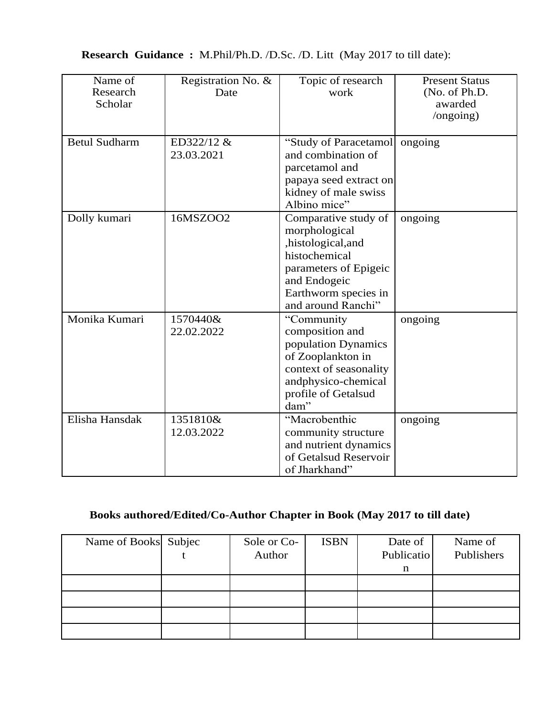| <b>Research Guidance:</b> M.Phil/Ph.D. /D.Sc. /D. Litt (May 2017 to till date): |  |
|---------------------------------------------------------------------------------|--|
|---------------------------------------------------------------------------------|--|

| Name of<br>Research<br>Scholar | Registration No. &<br>Date | Topic of research<br>work                                                                                                                                          | <b>Present Status</b><br>(No. of Ph.D.<br>awarded<br>$\log$ ongoing) |
|--------------------------------|----------------------------|--------------------------------------------------------------------------------------------------------------------------------------------------------------------|----------------------------------------------------------------------|
| <b>Betul Sudharm</b>           | ED322/12 &<br>23.03.2021   | "Study of Paracetamol<br>and combination of<br>parcetamol and<br>papaya seed extract on<br>kidney of male swiss<br>Albino mice"                                    | ongoing                                                              |
| Dolly kumari                   | 16MSZOO2                   | Comparative study of<br>morphological<br>,histological,and<br>histochemical<br>parameters of Epigeic<br>and Endogeic<br>Earthworm species in<br>and around Ranchi" | ongoing                                                              |
| Monika Kumari                  | 1570440&<br>22.02.2022     | "Community<br>composition and<br>population Dynamics<br>of Zooplankton in<br>context of seasonality<br>andphysico-chemical<br>profile of Getalsud<br>dam"          | ongoing                                                              |
| Elisha Hansdak                 | 1351810&<br>12.03.2022     | "Macrobenthic<br>community structure<br>and nutrient dynamics<br>of Getalsud Reservoir<br>of Jharkhand"                                                            | ongoing                                                              |

## **Books authored/Edited/Co-Author Chapter in Book (May 2017 to till date)**

| Name of Books Subjec | Sole or Co-<br>Author | <b>ISBN</b> | Date of<br>Publicatio | Name of<br>Publishers |
|----------------------|-----------------------|-------------|-----------------------|-----------------------|
|                      |                       |             | n                     |                       |
|                      |                       |             |                       |                       |
|                      |                       |             |                       |                       |
|                      |                       |             |                       |                       |
|                      |                       |             |                       |                       |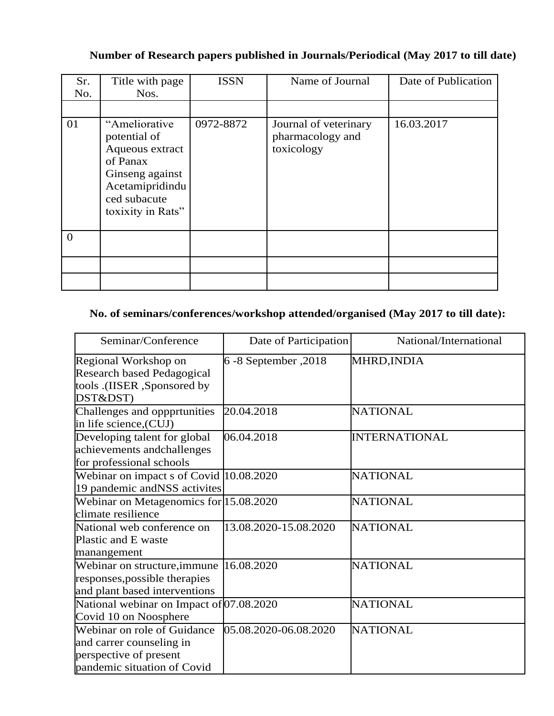#### **Number of Research papers published in Journals/Periodical (May 2017 to till date)**

| Sr.<br>No. | Title with page<br>Nos.                                                                                                                 | <b>ISSN</b> | Name of Journal                                         | Date of Publication |
|------------|-----------------------------------------------------------------------------------------------------------------------------------------|-------------|---------------------------------------------------------|---------------------|
|            |                                                                                                                                         |             |                                                         |                     |
| 01         | "Ameliorative<br>potential of<br>Aqueous extract<br>of Panax<br>Ginseng against<br>Acetamipridindu<br>ced subacute<br>toxixity in Rats" | 0972-8872   | Journal of veterinary<br>pharmacology and<br>toxicology | 16.03.2017          |
| $\theta$   |                                                                                                                                         |             |                                                         |                     |
|            |                                                                                                                                         |             |                                                         |                     |
|            |                                                                                                                                         |             |                                                         |                     |

### **No. of seminars/conferences/workshop attended/organised (May 2017 to till date):**

| Seminar/Conference                                                                                               | Date of Participation | National/International |
|------------------------------------------------------------------------------------------------------------------|-----------------------|------------------------|
| Regional Workshop on<br>Research based Pedagogical<br>tools .(IISER ,Sponsored by<br>DST&DST)                    | 6 -8 September, 2018  | MHRD, INDIA            |
| Challenges and oppprtunities<br>in life science, (CUJ)                                                           | 20.04.2018            | <b>NATIONAL</b>        |
| Developing talent for global<br>achievements andchallenges<br>for professional schools                           | 06.04.2018            | <b>INTERNATIONAL</b>   |
| Webinar on impact s of Covid 10.08.2020<br>19 pandemic andNSS activites                                          |                       | <b>NATIONAL</b>        |
| Webinar on Metagenomics for 15.08.2020<br>climate resilience                                                     |                       | <b>NATIONAL</b>        |
| National web conference on<br>Plastic and E waste<br>manangement                                                 | 13.08.2020-15.08.2020 | <b>NATIONAL</b>        |
| Webinar on structure, immune<br>responses, possible therapies<br>and plant based interventions                   | 16.08.2020            | <b>NATIONAL</b>        |
| National webinar on Impact of 07.08.2020<br>Covid 10 on Noosphere                                                |                       | <b>NATIONAL</b>        |
| Webinar on role of Guidance<br>and carrer counseling in<br>perspective of present<br>pandemic situation of Covid | 05.08.2020-06.08.2020 | <b>NATIONAL</b>        |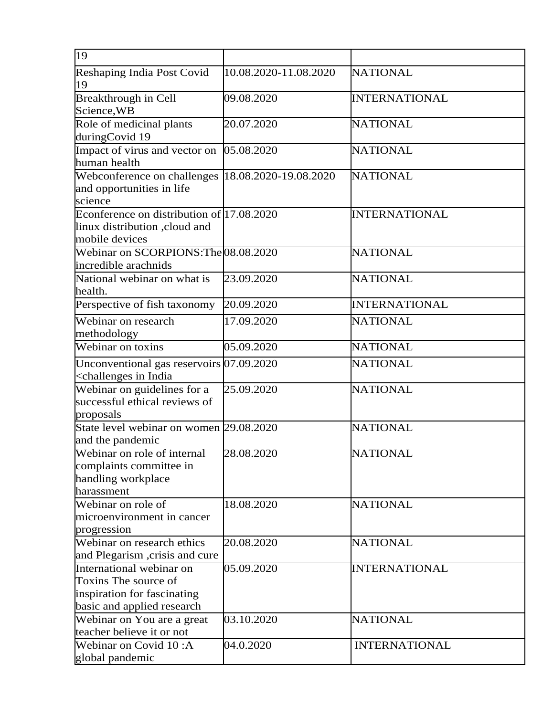| 19                                                                                                                           |                       |                      |
|------------------------------------------------------------------------------------------------------------------------------|-----------------------|----------------------|
| Reshaping India Post Covid<br>19                                                                                             | 10.08.2020-11.08.2020 | <b>NATIONAL</b>      |
| Breakthrough in Cell<br>Science, WB                                                                                          | 09.08.2020            | <b>INTERNATIONAL</b> |
| Role of medicinal plants<br>duringCovid 19                                                                                   | 20.07.2020            | <b>NATIONAL</b>      |
| Impact of virus and vector on<br>human health                                                                                | 05.08.2020            | <b>NATIONAL</b>      |
| Webconference on challenges  18.08.2020-19.08.2020<br>and opportunities in life<br>science                                   |                       | <b>NATIONAL</b>      |
| Econference on distribution of $17.08.2020$<br>linux distribution , cloud and<br>mobile devices                              |                       | <b>INTERNATIONAL</b> |
| Webinar on SCORPIONS: The 08.08.2020<br>incredible arachnids                                                                 |                       | <b>NATIONAL</b>      |
| National webinar on what is<br>health.                                                                                       | 23.09.2020            | <b>NATIONAL</b>      |
| Perspective of fish taxonomy                                                                                                 | 20.09.2020            | <b>INTERNATIONAL</b> |
| Webinar on research<br>methodology                                                                                           | 17.09.2020            | <b>NATIONAL</b>      |
| Webinar on toxins                                                                                                            | 05.09.2020            | <b>NATIONAL</b>      |
| Unconventional gas reservoirs 07.09.2020<br><challenges in="" india<="" td=""><td></td><td><b>NATIONAL</b></td></challenges> |                       | <b>NATIONAL</b>      |
| Webinar on guidelines for a<br>successful ethical reviews of<br>proposals                                                    | 25.09.2020            | <b>NATIONAL</b>      |
| State level webinar on women 29.08.2020<br>and the pandemic                                                                  |                       | <b>NATIONAL</b>      |
| Webinar on role of internal<br>complaints committee in<br>handling workplace<br>harassment                                   | 28.08.2020            | <b>NATIONAL</b>      |
| Webinar on role of<br>microenvironment in cancer<br>progression                                                              | 18.08.2020            | <b>NATIONAL</b>      |
| Webinar on research ethics<br>and Plegarism, crisis and cure                                                                 | 20.08.2020            | <b>NATIONAL</b>      |
| International webinar on<br>Toxins The source of<br>inspiration for fascinating<br>basic and applied research                | 05.09.2020            | <b>INTERNATIONAL</b> |
| Webinar on You are a great<br>teacher believe it or not                                                                      | 03.10.2020            | <b>NATIONAL</b>      |
| Webinar on Covid 10:A<br>global pandemic                                                                                     | 04.0.2020             | <b>INTERNATIONAL</b> |